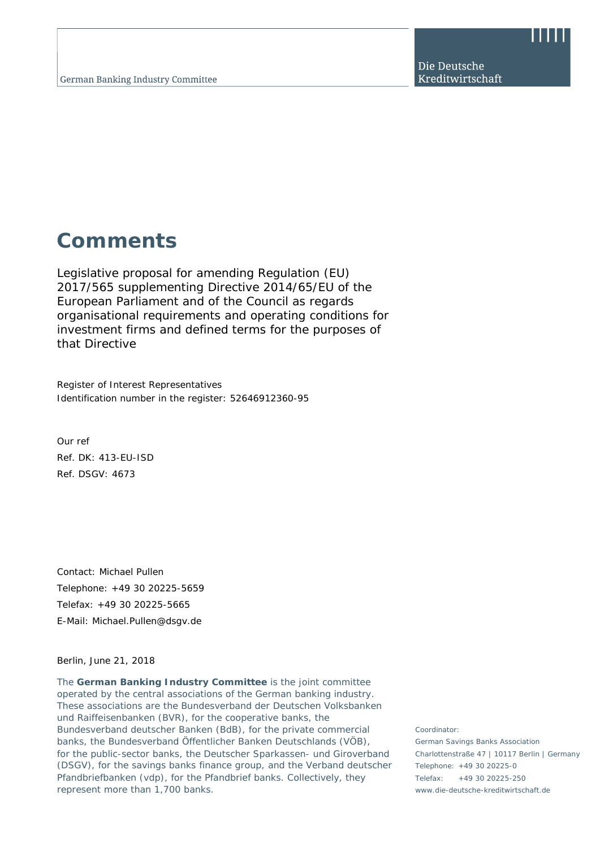Die Deutsche Kreditwirtschaft

# **Comments**

Legislative proposal for amending Regulation (EU) 2017/565 supplementing Directive 2014/65/EU of the European Parliament and of the Council as regards organisational requirements and operating conditions for investment firms and defined terms for the purposes of that Directive

Register of Interest Representatives Identification number in the register: 52646912360-95

Our ref Ref. DK: 413-EU-ISD Ref. DSGV: 4673

Contact: Michael Pullen Telephone: +49 30 20225-5659 Telefax: +49 30 20225-5665 E-Mail: Michael.Pullen@dsgv.de

Berlin, June 21, 2018

The **German Banking Industry Committee** is the joint committee operated by the central associations of the German banking industry. These associations are the Bundesverband der Deutschen Volksbanken und Raiffeisenbanken (BVR), for the cooperative banks, the Bundesverband deutscher Banken (BdB), for the private commercial banks, the Bundesverband Öffentlicher Banken Deutschlands (VÖB), for the public-sector banks, the Deutscher Sparkassen- und Giroverband (DSGV), for the savings banks finance group, and the Verband deutscher Pfandbriefbanken (vdp), for the Pfandbrief banks. Collectively, they represent more than 1,700 banks.

Coordinator:

German Savings Banks Association Charlottenstraße 47 | 10117 Berlin | Germany Telephone: +49 30 20225-0 Telefax: +49 30 20225-250 www.die-deutsche-kreditwirtschaft.de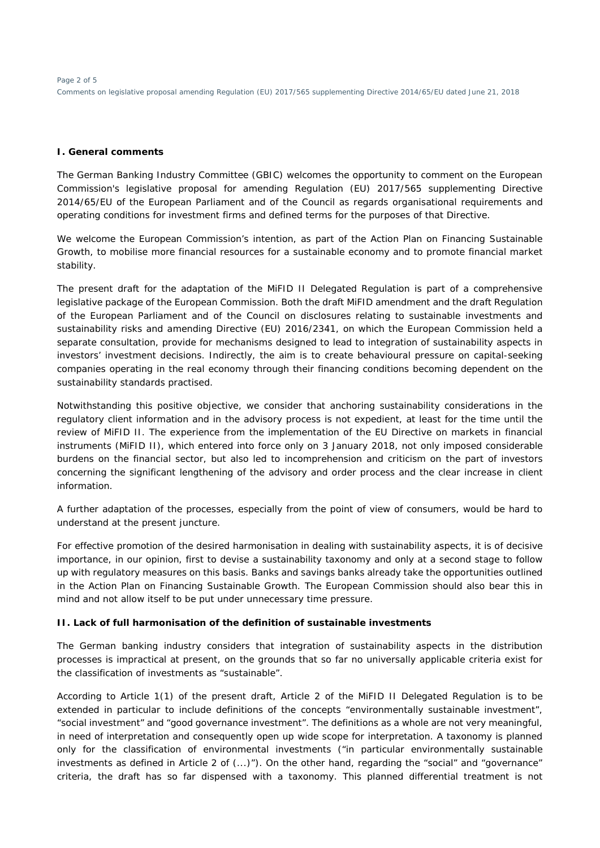### **I. General comments**

The German Banking Industry Committee (GBIC) welcomes the opportunity to comment on the European Commission's legislative proposal for amending Regulation (EU) 2017/565 supplementing Directive 2014/65/EU of the European Parliament and of the Council as regards organisational requirements and operating conditions for investment firms and defined terms for the purposes of that Directive.

We welcome the European Commission's intention, as part of the Action Plan on Financing Sustainable Growth, to mobilise more financial resources for a sustainable economy and to promote financial market stability.

The present draft for the adaptation of the MiFID II Delegated Regulation is part of a comprehensive legislative package of the European Commission. Both the draft MiFID amendment and the draft Regulation of the European Parliament and of the Council on disclosures relating to sustainable investments and sustainability risks and amending Directive (EU) 2016/2341, on which the European Commission held a separate consultation, provide for mechanisms designed to lead to integration of sustainability aspects in investors' investment decisions. Indirectly, the aim is to create behavioural pressure on capital-seeking companies operating in the real economy through their financing conditions becoming dependent on the sustainability standards practised.

Notwithstanding this positive objective, we consider that anchoring sustainability considerations in the regulatory client information and in the advisory process is not expedient, at least for the time until the review of MiFID II. The experience from the implementation of the EU Directive on markets in financial instruments (MiFID II), which entered into force only on 3 January 2018, not only imposed considerable burdens on the financial sector, but also led to incomprehension and criticism on the part of investors concerning the significant lengthening of the advisory and order process and the clear increase in client information.

A further adaptation of the processes, especially from the point of view of consumers, would be hard to understand at the present juncture.

For effective promotion of the desired harmonisation in dealing with sustainability aspects, it is of decisive importance, in our opinion, first to devise a sustainability taxonomy and only at a second stage to follow up with regulatory measures on this basis. Banks and savings banks already take the opportunities outlined in the Action Plan on Financing Sustainable Growth. The European Commission should also bear this in mind and not allow itself to be put under unnecessary time pressure.

## **II. Lack of full harmonisation of the definition of sustainable investments**

The German banking industry considers that integration of sustainability aspects in the distribution processes is impractical at present, on the grounds that so far no universally applicable criteria exist for the classification of investments as "sustainable".

According to Article 1(1) of the present draft, Article 2 of the MiFID II Delegated Regulation is to be extended in particular to include definitions of the concepts "environmentally sustainable investment", "social investment" and "good governance investment". The definitions as a whole are not very meaningful, in need of interpretation and consequently open up wide scope for interpretation. A taxonomy is planned only for the classification of environmental investments ("in particular environmentally sustainable investments as defined in Article 2 of (...)"). On the other hand, regarding the "social" and "governance" criteria, the draft has so far dispensed with a taxonomy. This planned differential treatment is not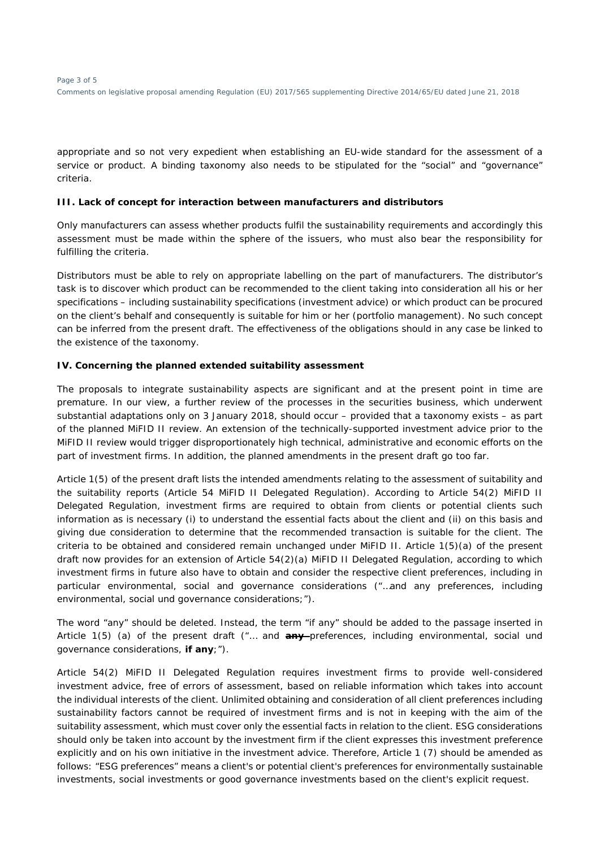appropriate and so not very expedient when establishing an EU-wide standard for the assessment of a service or product. A binding taxonomy also needs to be stipulated for the "social" and "governance" criteria.

#### **III. Lack of concept for interaction between manufacturers and distributors**

Only manufacturers can assess whether products fulfil the sustainability requirements and accordingly this assessment must be made within the sphere of the issuers, who must also bear the responsibility for fulfilling the criteria.

Distributors must be able to rely on appropriate labelling on the part of manufacturers. The distributor's task is to discover which product can be recommended to the client taking into consideration all his or her specifications – including sustainability specifications (investment advice) or which product can be procured on the client's behalf and consequently is suitable for him or her (portfolio management). No such concept can be inferred from the present draft. The effectiveness of the obligations should in any case be linked to the existence of the taxonomy.

#### **IV. Concerning the planned extended suitability assessment**

The proposals to integrate sustainability aspects are significant and at the present point in time are premature. In our view, a further review of the processes in the securities business, which underwent substantial adaptations only on 3 January 2018, should occur – provided that a taxonomy exists – as part of the planned MiFID II review. An extension of the technically-supported investment advice prior to the MiFID II review would trigger disproportionately high technical, administrative and economic efforts on the part of investment firms. In addition, the planned amendments in the present draft go too far.

Article 1(5) of the present draft lists the intended amendments relating to the assessment of suitability and the suitability reports (Article 54 MiFID II Delegated Regulation). According to Article 54(2) MiFID II Delegated Regulation, investment firms are required to obtain from clients or potential clients such information as is necessary (i) to understand the essential facts about the client and (ii) on this basis and giving due consideration to determine that the recommended transaction is suitable for the client. The criteria to be obtained and considered remain unchanged under MiFID II. Article 1(5)(a) of the present draft now provides for an extension of Article 54(2)(a) MiFID II Delegated Regulation, according to which investment firms in future also have to obtain and consider the respective client preferences, including in particular environmental, social and governance considerations ("…and any preferences, including environmental, social und governance considerations;").

The word "any" should be deleted. Instead, the term "if any" should be added to the passage inserted in Article 1(5) (a) of the present draft ("… and **any** preferences, including environmental, social und governance considerations, **if any**;").

Article 54(2) MiFID II Delegated Regulation requires investment firms to provide well-considered investment advice, free of errors of assessment, based on reliable information which takes into account the individual interests of the client. Unlimited obtaining and consideration of all client preferences including sustainability factors cannot be required of investment firms and is not in keeping with the aim of the suitability assessment, which must cover only the essential facts in relation to the client. ESG considerations should only be taken into account by the investment firm if the client expresses this investment preference explicitly and on his own initiative in the investment advice. Therefore, Article 1 (7) should be amended as follows: "ESG preferences" means a client's or potential client's preferences for environmentally sustainable investments, social investments or good governance investments based on the client's explicit request.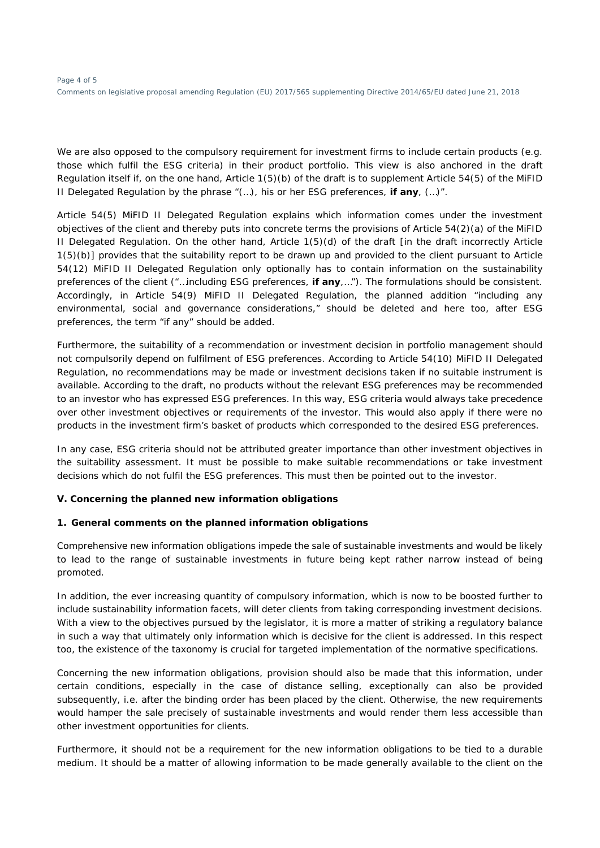We are also opposed to the compulsory requirement for investment firms to include certain products (e.g. those which fulfil the ESG criteria) in their product portfolio. This view is also anchored in the draft Regulation itself if, on the one hand, Article 1(5)(b) of the draft is to supplement Article 54(5) of the MiFID II Delegated Regulation by the phrase "(…), his or her ESG preferences, **if any**, (…)".

Article 54(5) MiFID II Delegated Regulation explains which information comes under the investment objectives of the client and thereby puts into concrete terms the provisions of Article 54(2)(a) of the MiFID II Delegated Regulation. On the other hand, Article 1(5)(d) of the draft [in the draft incorrectly Article 1(5)(b)] provides that the suitability report to be drawn up and provided to the client pursuant to Article 54(12) MiFID II Delegated Regulation only optionally has to contain information on the sustainability preferences of the client ("…including ESG preferences, **if any**,…"). The formulations should be consistent. Accordingly, in Article 54(9) MiFID II Delegated Regulation, the planned addition "including any environmental, social and governance considerations," should be deleted and here too, after ESG preferences, the term "if any" should be added.

Furthermore, the suitability of a recommendation or investment decision in portfolio management should not compulsorily depend on fulfilment of ESG preferences. According to Article 54(10) MiFID II Delegated Regulation, no recommendations may be made or investment decisions taken if no suitable instrument is available. According to the draft, no products without the relevant ESG preferences may be recommended to an investor who has expressed ESG preferences. In this way, ESG criteria would always take precedence over other investment objectives or requirements of the investor. This would also apply if there were no products in the investment firm's basket of products which corresponded to the desired ESG preferences.

In any case, ESG criteria should not be attributed greater importance than other investment objectives in the suitability assessment. It must be possible to make suitable recommendations or take investment decisions which do not fulfil the ESG preferences. This must then be pointed out to the investor.

## **V. Concerning the planned new information obligations**

## **1. General comments on the planned information obligations**

Comprehensive new information obligations impede the sale of sustainable investments and would be likely to lead to the range of sustainable investments in future being kept rather narrow instead of being promoted.

In addition, the ever increasing quantity of compulsory information, which is now to be boosted further to include sustainability information facets, will deter clients from taking corresponding investment decisions. With a view to the objectives pursued by the legislator, it is more a matter of striking a regulatory balance in such a way that ultimately only information which is decisive for the client is addressed. In this respect too, the existence of the taxonomy is crucial for targeted implementation of the normative specifications.

Concerning the new information obligations, provision should also be made that this information, under certain conditions, especially in the case of distance selling, exceptionally can also be provided subsequently, i.e. after the binding order has been placed by the client. Otherwise, the new requirements would hamper the sale precisely of sustainable investments and would render them less accessible than other investment opportunities for clients.

Furthermore, it should not be a requirement for the new information obligations to be tied to a durable medium. It should be a matter of allowing information to be made generally available to the client on the